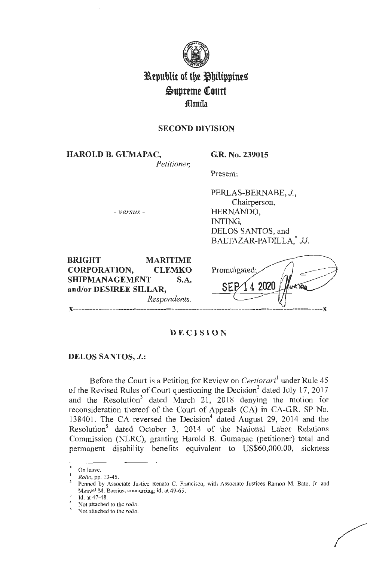

# **Republic of the Philippines**  $\mathfrak{g}_\text{upreme}$  Court **manila**

# **SECOND DIVISION**

**HAROLD B. GUMAPAC,** 

*Petitioner,* 

**GR. No. 239015** 

Present:

- *versus* -

PERLAS-BERNABE, J., Chairperson, HERNANDO, INTING, DELOS SANTOS, and BALTAZAR-PADILLA, JJ.

**BRIGHT MARITIME CORPORATION, CLEMKO SHIPMANAGEMENT S.A. and/or DESIREE SILLAR,**  *Respondents.* 

Promulgated 4 2020 **x-----------------------------------------------------------------------------------------x** 

# **DECISION**

# **DELOS SANTOS, J.:**

Before the Court is a Petition for Review on *Certiorari'* under Rule 45 of the Revised Rules of Court questioning the Decision<sup>2</sup> dated July 17, 2017 and the Resolution<sup>3</sup> dated March 21, 2018 denying the motion for reconsideration thereof of the Court of Appeals (CA) in CA-G.R. SP No. 138401. The CA reversed the Decision<sup>4</sup> dated August 29, 2014 and the Resolution<sup>5</sup> dated October 3, 2014 of the National Labor Relations Commission (NLRC), granting Harold B. Gumapac (petitioner) total and permanent disability benefits equivalent to US\$60,000.00, sickness

On leave.

*Rollo*, pp. 13-46.<br>Penned by Associate Justice Renato C. Francisco, with Associate Justices Ramon M. Bato, Jr. and Manuel M. Barrios, concurring; id. at 49-65.

Id. at 47-48.<br>Not attached to the *rollo*.<br>Not attached to the *rollo*.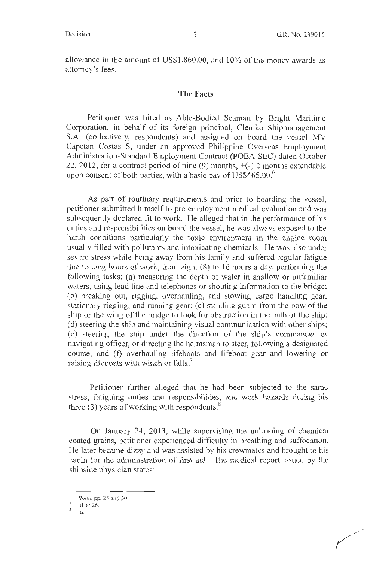allowance in the amount of US\$1,860.00, and 10% of the money awards as attorney's fees.

# **The Facts**

Petitioner was hired as Able-Bodied Seaman by Bright Maritime Corporation, in behalf of its foreign principal, Clemko Shipmanagement S.A. (collectively, respondents) and assigned on board the vessel MV Capetan Costas S, under an approved Philippine Overseas Employment Administration-Standard Employment Contract (POEA-SEC) dated October 22, 2012, for a contract period of nine (9) months, +(-) 2 months extendable upon consent of both parties, with a basic pay of US\$465.00. $^6$ 

As part of routinary requirements and prior to boarding the vessel, petitioner submitted himself to pre-employment medical evaluation and was subsequently declared fit to work. He alleged that in the performance of his duties and responsibilities on board the vessel, he was always exposed to the harsh conditions particularly the toxic environment in the engine room usually filled with pollutants and intoxicating chemicals. He was also under severe stress while being away from his family and suffered regular fatigue due to long hours of work, from eight (8) to 16 hours a day, performing the following tasks: (a) measuring the depth of water in shallow or unfamiliar waters, using lead line and telephones or shouting information to the bridge; (b) breaking out, rigging, overhauling, and stowing cargo handling gear, stationary rigging, and running gear; (c) standing guard from the bow of the ship or the wing of the bridge to look for obstruction in the path of the ship; ( d) steering the ship and maintaining visual communication with other ships; (e) steering the ship under the direction of the ship's commander or navigating officer, or directing the helmsman to steer, following a designated course; and (f) overhauling lifeboats and lifeboat gear and lowering or raising lifeboats with winch or falls.<sup>7</sup>

Petitioner further alleged that he had been subjected to the same stress, fatiguing duties and responsibilities, and work hazards during his three  $(3)$  years of working with respondents.<sup>8</sup>

On January 24, 2013, while supervising the unloading of chemical coated grains, petitioner experienced difficulty in breathing and suffocation. He later became dizzy and was assisted by his crewmates and brought to his cabin for the administration of first aid. The medical report issued by the shipside physician states:

 $\frac{6}{7}$  *Rollo*, pp. 25 and 50.

Id. at 26.<br>Id.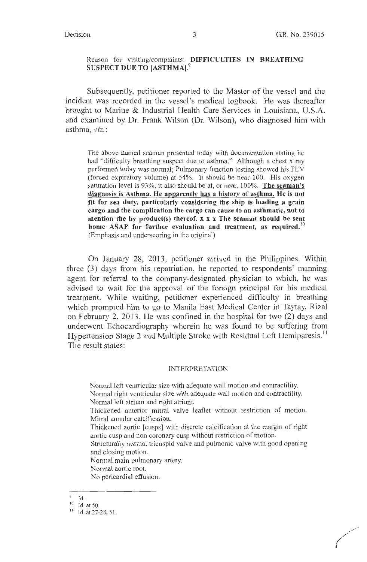# Reason for visiting/complaints: **DIFFICULTIES IN BREATHING SUSPECT DUE TO [ASTHMA]. 9**

Subsequently, petitioner reported to the Master of the vessel and the incident was recorded in the vessel's medical logbook. He was thereafter brought to Marine & Industrial Health Care Services in Louisiana, U.S.A. and examined by Dr. Frank Wilson (Dr. Wilson), who diagnosed him with asthma, *viz.* :

The above named seaman presented today with documentation stating he had "difficulty breathing suspect due to asthma." Although a chest x ray performed today was normal; Pulmonary function testing showed his FEY (forced expiratory volume) at 54%. It should be near 100. His oxygen saturation level is 93%, it also should be at, or near, 100%. **The seaman's diagnosis is Asthma. He apparently has a history of asthma. He is not fit for sea duty, particularly considering the ship is loading a grain cargo and the complication the cargo can cause to an asthmatic, not to mention the by product(s) thereof. x x x The seaman should be sent home ASAP for further evaluation and treatment, as required. <sup>10</sup>** (Emphasis and underscoring in the original)

On January 28, 2013, petitioner arrived in the Philippines. Within three (3) days from his repatriation, he reported to respondents' manning agent for referral to the company-designated physician to which, he was advised to wait for the approval of the foreign principal for his medical treatment. While waiting, petitioner experienced difficulty in breathing which prompted him to go to Manila East Medical Center in Taytay, Rizal on February 2, 2013. He was confined in the hospital for two (2) days and underwent Echocardiography wherein he was found to be suffering from Hypertension Stage 2 and Multiple Stroke with Residual Left Hemiparesis.<sup>11</sup> The result states:

#### INTERPRETATION

Normal left ventricular size with adequate wall motion and contractility. Normal right ventricular size with adequate wall motion and contractility. Normal left atrium and right atrium.

Thickened anterior mitral valve leaflet without restriction of motion. Mitra! annular calcification.

Thickened aortic [cusps] with discrete calcification at the margin of right aortic cusp and non coronary cusp without restriction of motion.

Structurally normal tricuspid valve and pulmonic valve with good opening and closing motion.

Normal main pulmonary artery. Normal aortic root. No pericardial effusion.

<sup>9</sup>Id.

 $10$  Id. at 50.

 $11$  Id. at 27-28, 51.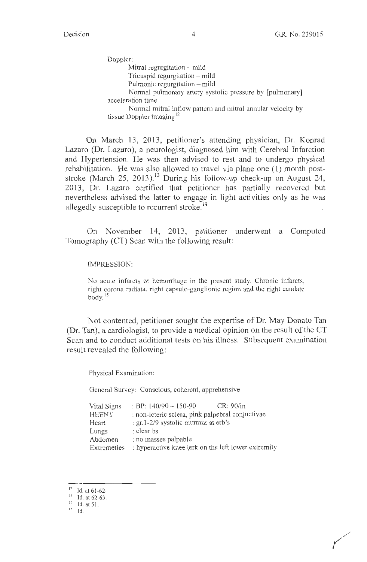Doppler: Mitral regurgitation – mild Tricuspid regurgitation - mild Pulmonic regurgitation  $-$  mild Normal pulmonary artery systolic pressure by [pulmonary] acceleration time Normal mitral inflow pattern and mitral annular velocity by tissue Doppler imaging<sup>12</sup>

On March 13, 2013, petitioner's attending physician, Dr. Konrad Lazaro (Dr. Lazaro), a neurologist, diagnosed him with Cerebral Infarction and Hypertension. He was then advised to rest and to undergo physical rehabilitation. He was also allowed to travel via plane one (1) month poststroke (March 25, 2013).<sup>13</sup> During his follow-up check-up on August 24, 2013, Dr. Lazaro certified that petitioner has partially recovered but nevertheless advised the latter to engage in light activities only as he was allegedly susceptible to recurrent stroke.<sup>14</sup>

On November 14, 2013, petitioner underwent a Computed Tomography (CT) Scan with the following result:

#### IMPRESSION:

No acute infarcts or hemorrhage in the present study. Chronic infarcts, right corona radiata, right capsulo-ganglionic region and the right caudate body. $15$ 

Not contented, petitioner sought the expertise of Dr. May Donato Tan (Dr. Tan), a cardiologist, to provide a medical opinion on the result of the CT Scan and to conduct additional tests on his illness. Subsequent examination result revealed the following:

Physical Examination:

General Survey: Conscious, coherent, apprehensive

| Vital Signs  | : BP: $140/90 - 150-90$<br>CR: 90/in                |
|--------------|-----------------------------------------------------|
| <b>HEENT</b> | : non-icteric sclera, pink palpebral conjuctivae    |
| Heart        | : gr. $1-2/9$ systolic murmur at erb's              |
| Lungs        | : clear bs                                          |
| Abdomen      | : no masses palpable                                |
| Extremeties  | : hyperactive knee jerk on the left lower extremity |

<sup>&</sup>lt;sup>12</sup> Id. at 61-62.

 $13$  Id. at 62-63.

 $14$  Id. at 51.

 $^{15}$  Id.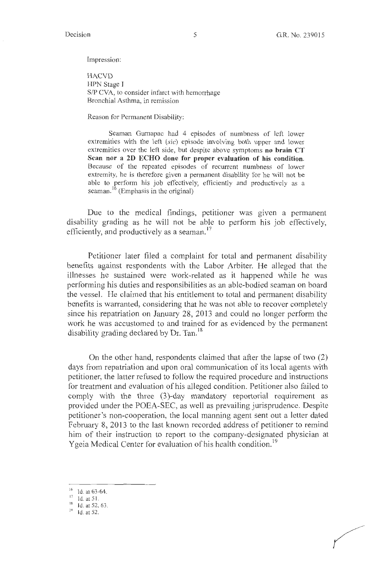Impression:

**HACVD** HPN Stage I *SIP* CVA, to consider infarct with hemorrhage Bronchial Asthma, in remission

Reason for Permanent Disability:

Seaman Gumapac had 4 episodes of numbness of left lower extremities with the left (sic) episode involving both upper and lower extremities over the left side, but despite above symptoms **no brain CT Scan nor a 2D ECHO done for proper evaluation of his condition.**  Because of the repeated episodes of recurrent numbness of lower extremity, he is therefore given a permanent disability for he will not be able to perform his job effectively, efficiently and productively as a seaman.<sup>16</sup> (Emphasis in the original)

Due to the medical findings, petitioner was given a permanent disability grading as he will not be able to perform his job effectively, efficiently, and productively as a seaman.<sup>17</sup>

Petitioner later filed a complaint for total and permanent disability benefits against respondents with the Labor Arbiter. He alleged that the illnesses he sustained were work-related as it happened while he was performing his duties and responsibilities as an able-bodied seaman on board the vessel. He claimed that his entitlement to total and permanent disability benefits is warranted, considering that he was not able to recover completely since his repatriation on January 28, 2013 and could no longer perform the work he was accustomed to and trained for as evidenced by the permanent disability grading declared by Dr. Tan.<sup>18</sup>

On the other hand, respondents claimed that after the lapse of two (2) days from repatriation and upon oral communication of its local agents with petitioner, the latter refused to follow the required procedure and instructions for treatment and evaluation of his alleged condition. Petitioner also failed to comply with the three (3)-day mandatory reportorial requirement as provided under the POEA-SEC, as well as prevailing jurisprudence. Despite petitioner's non-cooperation, the local manning agent sent out a letter dated February 8, 2013 to the last known recorded address of petitioner to remind him of their instruction to report to the company-designated physician at Ygeia Medical Center for evaluation of his health condition.<sup>19</sup>

- $16$  Id. at 63-64.<br> $17$  Id. at 51.
- 
- $18$  Id. at 52, 63.
- $19$  Id. at 52.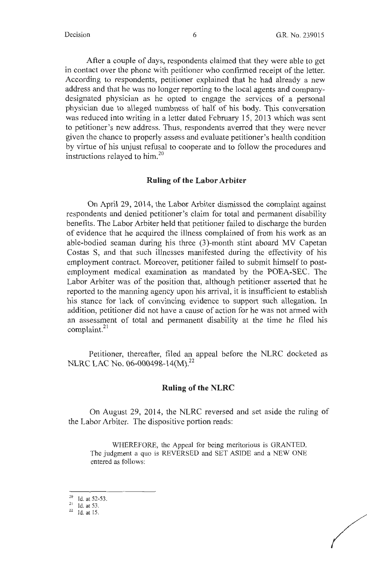After a couple of days, respondents claimed that they were able to get in contact over the phone with petitioner who confirmed receipt of the letter. According to respondents, petitioner explained that he had already a new address and that he was no longer reporting to the local agents and companydesignated physician as he opted to engage the services of a personal physician due to alleged numbness of half of his body. This conversation was reduced into writing in a letter dated February 15, 2013 which was sent to petitioner's new address. Thus, respondents averred that they were never given the chance to properly assess and evaluate petitioner's health condition by virtue of his unjust refusal to cooperate and to follow the procedures and instructions relayed to him.<sup>20</sup>

#### **Ruling of the Labor Arbiter**

On April 29, 2014, the Labor Arbiter dismissed the complaint against respondents and denied petitioner's claim for total and permanent disability benefits. The Labor Arbiter held that petitioner failed to discharge the burden of evidence that he acquired the illness complained of from his work as an able-bodied seaman during his three (3)-month stint aboard MV Capetan Costas S, and that such illnesses manifested during the effectivity of his employment contract. Moreover, petitioner failed to submit himself to postemployment medical examination as mandated by the POEA-SEC. The Labor Arbiter was of the position that, although petitioner asserted that he reported to the manning agency upon his arrival, it is insufficient to establish his stance for lack of convincing evidence to support such allegation. In addition, petitioner did not have a cause of action for he was not armed with an assessment of total and permanent disability at the time he filed his complaint.<sup>21</sup>

Petitioner, thereafter, filed an appeal before the NLRC docketed as NLRC LAC No. 06-000498-14(M).<sup>22</sup>

#### **Ruling of the NLRC**

On August 29, 2014, the NLRC reversed and set aside the ruling of the Labor Arbiter. The dispositive portion reads:

WHEREFORE, the Appeal for being meritorious is GRANTED. The judgment a quo is REVERSED and SET ASIDE and a NEW ONE entered as follows:

<sup>20</sup> Id. at 52-53.

 $\frac{21}{22}$  Id. at 53.<br> $\frac{1}{22}$  Id. at 15.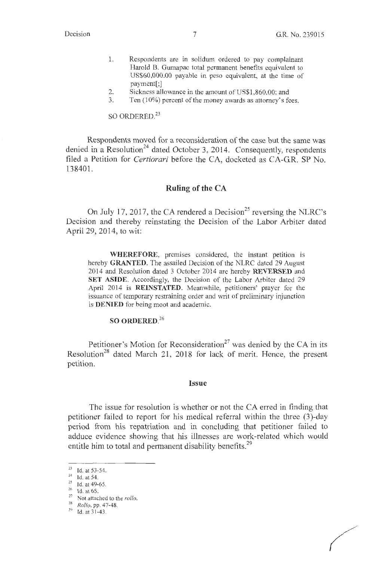- 1. Respondents are in solidum ordered to pay complainant Harold B. Gumapac total permanent benefits equivalent to US\$60,000.00 payable in peso equivalent, at the time of payment[;]
- 2. Sickness allowance in the amount of US\$1,860.00; and
- 3. Ten (10%) percent of the money awards as attorney's fees.

SO ORDERED.<sup>23</sup>

Respondents moved for a reconsideration of the case but the same was denied in a Resolution<sup>24</sup> dated October 3, 2014. Consequently, respondents filed a Petition for *Certiorari* before the CA, docketed as CA-G.R. SP No. 138401.

# **Ruling of the CA**

On July 17, 2017, the CA rendered a Decision<sup>25</sup> reversing the NLRC's Decision and thereby reinstating the Decision of the Labor Arbiter dated April 29, 2014, to wit:

**WHEREFORE,** premises considered, the instant petition is hereby **GRANTED.** The assailed Decision of the NLRC dated 29 August 2014 and Resolution dated 3 October 2014 are hereby **REVERSED** and **SET ASIDE.** Accordingly, the Decision of the Labor Arbiter dated 29 April 2014 is **REINSTATED.** Meanwhile, petitioners' prayer for the issuance of temporary restraining order and writ of preliminary injunction is **DENIED** for being moot and academic.

# **SO ORDERED.<sup>26</sup>**

Petitioner's Motion for Reconsideration<sup>27</sup> was denied by the CA in its Resolution<sup>28</sup> dated March 21, 2018 for lack of merit. Hence, the present petition.

#### **Issue**

The issue for resolution is whether or not the CA erred in finding that petitioner failed to report for his medical referral within the three (3)-day period from his repatriation and in concluding that petitioner failed to adduce evidence showing that his illnesses are work-related which would entitle him to total and permanent disability benefits.<sup>29</sup>

<sup>&</sup>lt;sup>23</sup> Id. at 53-54.<br><sup>24</sup> Id. at 54.<br><sup>25</sup> Id. at 49-65.<br><sup>26</sup> Id. at 65.

<sup>&</sup>lt;sup>27</sup> Not attached to the *rollo*.

<sup>28</sup>*Rollo,* pp. 47-48. 29 Id. at 31-43.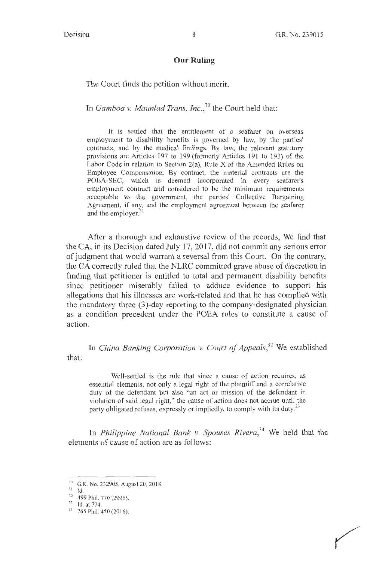#### **Our Ruling**

The Court finds the petition without merit.

In *Gamboa v. Maun/ad Trans, lnc., <sup>30</sup>*the Court held that:

It is settled that the entitlement of a seafarer on overseas employment to disability benefits is governed by law, by the parties' contracts, and by the medical findings. By law, the relevant statutory provisions are Articles 197 to 199 (formerly Articles 191 to 193) of the Labor Code in relation to Section 2(a), Rule X of the Amended Rules on Employee Compensation. By contract, the material contracts are the POEA-SEC, which is deemed incorporated in every seafarer's employment contract and considered to be the minimum requirements acceptable to the government, the parties' Collective Bargaining Agreement, if any, and the employment agreement between the seafarer and the employer.<sup>31</sup>

After a thorough and exhaustive review of the records, We find that the CA, in its Decision dated July 17, 2017, did not commit any serious error of judgment that would warrant a reversal from this Court. On the contrary, the CA correctly ruled that the NLRC committed grave abuse of discretion in finding that petitioner is entitled to total and permanent disability benefits since petitioner miserably failed to adduce evidence to support his allegations that his illnesses are work-related and that he has complied with the mandatory three (3)-day reporting to the company-designated physician as a condition precedent under the POEA rules to constitute a cause of action.

that: In *China Banking Corporation v. Court of Appeals*,<sup>32</sup> We established

Well-settled is the rule that since a cause of action requires, as essential elements, not only a legal right of the plaintiff and a correlative duty of the defendant but also "an act or mission of the defendant in violation of said legal right," the cause of action does not accrue until the party obligated refuses, expressly or impliedly, to comply with its duty.<sup>33</sup>

In *Philippine National Bank v. Spouses Rivera*,<sup>34</sup> We held that the elements of cause of action are as follows:

 $^{30}$  G.R. No. 232905, August 20, 2018.<br> $^{31}$  Id.

 $\frac{32}{33}$  499 Phil. 770 (2005).<br>  $\frac{33}{34}$  765 Phil. 450 (2016).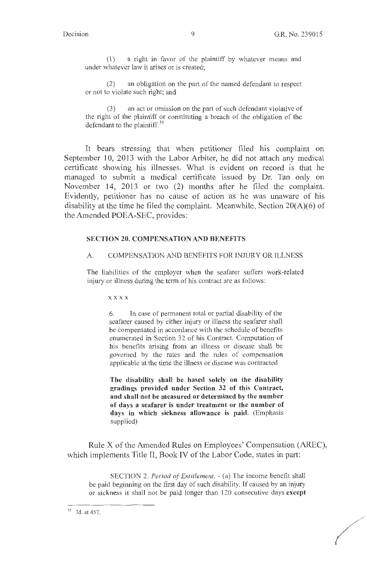(1) a right in favor of the plaintiff by whatever means and under whatever law it arises or is created;

(2) an obligation on the part of the named defendant to respect or not to violate such right; and

(3) an act or omission on the part of such defendant violative of the right of the plaintiff or constituting a breach of the obligation of the defendant to the plaintiff.<sup>35</sup>

It bears stressing that when petitioner filed his complaint on September 10, 2013 with the Labor Arbiter, he did not attach any medical certificate showing his illnesses. What is evident on record is that he managed to submit a medical certificate issued by Dr. Tan only on November 14, 2013 or two (2) months after he filed the complaint. Evidently, petitioner has no cause of action as he was unaware of his disability at the time he filed the complaint. Meanwhile, Section 20(A)(6) of the Amended POEA-SEC, provides:

#### **SECTION 20. COMPENSATION AND BENEFITS**

#### A. COMPENSATION AND BENEFITS FOR INJURY OR ILLNESS

The liabilities of the employer when the seafarer suffers work-related injury or illness during the term of his contract are as follows:

**xxxx** 

6. In case of permanent total or partial disability of the seafarer caused by either injury or illness the seafarer shall be compensated in accordance with the schedule of benefits enumerated in Section 32 of his Contract. Computation of his benefits arising from an illness or disease shall be governed by the rates and the rules of compensation applicable at the time the illness or disease was contracted

**The disability shall be based solely on the disability gradings provided under Section 32 of this Contract, and shall not be measured or determined by the number of days a seafarer is under treatment or the number of days in which sickness allowance is paid.** (Emphasis supplied)

Rule X of the Amended Rules on Employees' Compensation (AREC), which implements Title II, Book IV of the Labor Code, states in part:

SECTION 2. *Period of Entitlement.* - (a) The income benefit shall be paid beginning on the first day of such disability. If caused by an injury or sickness it shall not be paid longer than 120 consecutive days **except** 

 $35$  Id. at 457.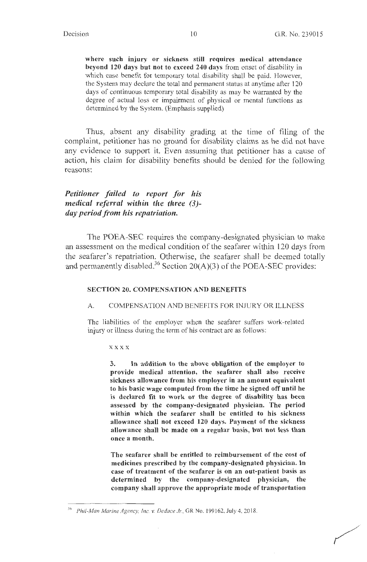where such injury or sickness still requires medical attendance **beyond 120 days but not to exceed 240 days** from onset of disability in which case benefit for temporary total disability shall be paid. However, the System may declare the total and permanent status at anytime after 120 days of continuous temporary total disability as may be warranted by the degree of actual loss or impairment of physical or mental functions as determined by the System. (Emphasis supplied)

Thus, absent any disability grading at the time of filing of the complaint, petitioner has no ground for disability claims as he did not have any evidence to support it. Even assuming that petitioner has a cause of action, his claim for disability benefits should be denied for the following reasons:

# *Petitioner failed to report for his medical referral within the three (3) day period from his repatriation.*

The POEA-SEC requires the company-designated physician to make an assessment on the medical condition of the seafarer within 120 days from the seafarer's repatriation. Otherwise, the seafarer shall be deemed totally and permanently disabled.<sup>36</sup> Section 20(A)(3) of the POEA-SEC provides:

#### **SECTION 20. COMPENSATION AND BENEFITS**

#### A. COMPENSATION AND BENEFITS FOR INJURY OR ILLNESS

The liabilities of the employer when the seafarer suffers work-related injury or illness during the term of his contract are as follows:

**xxxx** 

**3. In addition to the above obligation of the employer to provide medical attention, the seafarer shall also receive sickness allowance from his employer in an amount equivalent to his basic wage computed from the time he signed off until he is declared fit to work or the degree of disability has been assessed by the company-designated physician. The period within which the seafarer shall be entitled to his sickness allowance shall not exceed 120 days. Payment of the sickness allowance shall be made on a regular basis, but not less than once a month.** 

**The seafarer shall be entitled to reimbursement of the cost of medicines prescribed by the company-designated physician. In case of treatment of the seafarer is on an out-patient basis as determined by the company-designated physician, the company shall approve the appropriate mode of transportation** 

Phil-Man Marine Agency, Inc. v. Dedace Jr., GR No. 199162, July 4, 2018.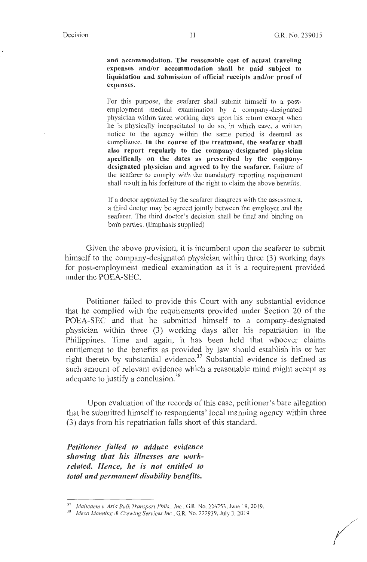**and accommodation. The reasonable cost of actual traveling expenses and/or accommodation shall be paid subject to liquidation and submission of official receipts and/or proof of expenses.** 

For this purpose, the seafarer shall submit himself to a postemployment medical examination by a company-designated physician within three working days upon his return except when he is physically incapacitated to do so, in which case, a written notice to the agency within the same period is deemed as compliance. **In the course of the treatment, the seafarer shall also report regularly to the company-designated physician specifically on the dates as prescribed by the companydesignated physician and agreed to by the seafarer.** Failure of the seafarer to comply with the mandatory reporting requirement shall result in his forfeiture of the right to claim the above benefits.

If a doctor appointed by the seafarer disagrees with the assessment, a third doctor may be agreed jointly between the employer and the seafarer. The third doctor's decision shall be final and binding on both parties. (Emphasis supplied)

Given the above provision, it is incumbent upon the seafarer to submit himself to the company-designated physician within three (3) working days for post-employment medical examination as it is a requirement provided under the POEA-SEC.

Petitioner failed to provide this Court with any substantial evidence that he complied with the requirements provided under Section 20 of the POEA-SEC and that he submitted himself to a company-designated physician within three (3) working days after his repatriation in the Philippines. Time and again, it has been held that whoever claims entitlement to the benefits as provided by law should establish his or her right thereto by substantial evidence.<sup>37</sup> Substantial evidence is defined as such amount of relevant evidence which a reasonable mind might accept as adequate to justify a conclusion.<sup>38</sup>

Upon evaluation of the records of this case, petitioner's bare allegation that he submitted himself to respondents' local manning agency within three (3) days from his repatriation falls short of this standard.

*Petitioner Jailed to adduce evidence showing that his illnesses are workrelated. Hence, he is not entitled to total and permanent disability benefits.* 

<sup>37</sup>*Malicdem v. Asia Bulk Transport Phils., Inc.,* GR. No. 224753, June 19, 2019. 38 *Meco Manning* & *Crewing Services Inc.,* G.R. No. 222939, July 3, 20 19.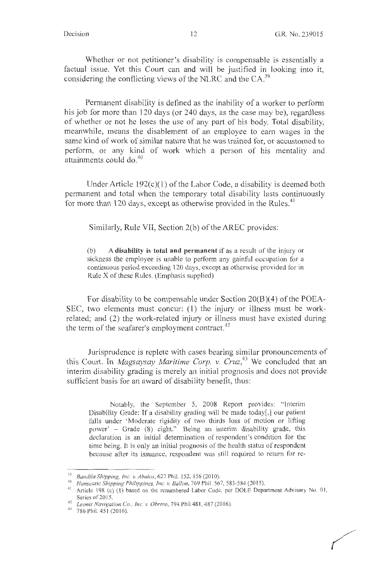Whether or not petitioner's disability is compensable is essentially a factual issue. Yet this Court can and will be justified in looking into it, considering the conflicting views of the NLRC and the  $CA<sup>39</sup>$ 

Permanent disability is defined as the inability of a worker to perform his job for more than 120 days (or 240 days, as the case may be), regardless of whether or not he loses the use of any part of his body. Total disability, meanwhile, means the disablement of an employee to earn wages in the same kind of work of similar nature that he was trained for, or accustomed to perform, or any kind of work which a person of his mentality and attainments could do. $40$ 

Under Article  $192(c)(1)$  of the Labor Code, a disability is deemed both permanent and total when the temporary total disability lasts continuously for more than 120 days, except as otherwise provided in the Rules.<sup>41</sup>

Similarly, Rule VII, Section 2(b) of the AREC provides:

(b) A **disability is total and permanent** if as a result of the injury or sickness the employee is unable to perform any gainful occupation for a continuous period exceeding 120 days, except as otherwise provided for in Rule X of these Rules. (Emphasis supplied)

For disability to be compensable under Section 20(B)(4) of the POEA-SEC, two elements must concur: ( **l)** the injury or illness must be workrelated; and (2) the work-related injury or illness must have existed during the term of the seafarer's employment contract.<sup>42</sup>

Jurisprudence is replete with cases bearing similar pronouncements of this Court. In *Magsaysay Maritime Corp. v. Cruz,<sup>43</sup>*We concluded that an interim disability grading is merely an initial prognosis and does not provide sufficient basis for an award of disability benefit, thus:

Notably, the September 5, 2008 Report provides: "Interim Disability Grade: If a disability grading will be made today[,] our patient falls under 'Moderate rigidity of two thirds loss of motion or lifting power' - Grade (8) eight." Being an interim disability grade, this declaration is an initial determination of respondent's condition for the time being. It is only an initial prognosis of the health status of respondent because after its issuance, respondent was still required to return for re-

<sup>&</sup>lt;sup>39</sup> Bandila Shipping, Inc. v. Abalos, 627 Phil. 152, 156 (2010).<br><sup>40</sup> Hanseatic Shipping Philippines, Inc. v. Ballon, 769 Phil. 567, 583-584 (2015).<br><sup>41</sup> Article 198 (c) (1) based on the renumbered Labor Code, per DOLE D Series of 2015.<br><sup>42</sup> *Leonis Navigation Co., Inc. v. Obrero*, 794 Phil 481, 487 (2016).<br><sup>43</sup> 786 Phil. 451 (2016).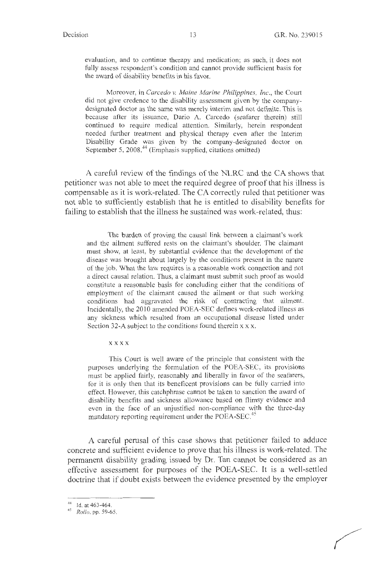evaluation, and to continue therapy and medication; as such, it does not fully assess respondent's condition and cannot provide sufficient basis for the award of disability benefits in his favor.

Moreover, in *Carcedo v. Maine Marine Philippines, Inc.,* the Court did not give credence to the disability assessment given by the companydesignated doctor as the same was merely interim and not definite. This is because after its issuance, Dario A. Carcedo (seafarer therein) still continued to require medical attention. Similarly, herein respondent needed further treatment and physical therapy even after the Interim Disability Grade was given by the company-designated doctor on September 5, 2008.<sup>44</sup> (Emphasis supplied, citations omitted)

A careful review of the findings of the NLRC and the CA shows that petitioner was not able to meet the required degree of proof that his illness is compensable as it is work-related. The CA correctly ruled that petitioner was not able to sufficiently establish that he is entitled to disability benefits for failing to establish that the illness he sustained was work-related, thus:

The burden of proving the causal link between a claimant's work and the ailment suffered rests on the claimant's shoulder. The claimant must show, at least, by substantial evidence that the development of the disease was brought about largely by the conditions present in the nature of the job. What the law requires is a reasonable work connection and not a direct causal relation. Thus, a claimant must submit such proof as would constitute a reasonable basis for concluding either that the conditions of employment of the claimant caused the ailment or that such working conditions had aggravated the risk of contracting· that ailment. Incidentally, the 2010 amended POEA-SEC defines work-related illness as any sickness which resulted from an occupational disease listed under Section 32-A subject to the conditions found therein x x x.

**xxxx** 

This Court is well aware of the principle that consistent with the purposes underlying the formulation of the POEA-SEC, its provisions must be applied fairly, reasonably and liberally in favor of the seafarers, for it is only then that its beneficent provisions can be fully carried into effect. However, this catchphrase cannot be taken to sanction the award of disability benefits and sickness allowance based on flimsy evidence and even in the face of an unjustified non-compliance with the three-day mandatory reporting requirement under the POEA-SEC.<sup>45</sup>

A careful perusal of this case shows that petitioner failed to adduce concrete and sufficient evidence to prove that his illness is work-related. The permanent disability grading issued by Dr. Tan cannot be considered as an effective assessment for purposes of the POEA-SEC. It is a well-settled doctrine that if doubt exists between the evidence presented by the employer

<sup>44</sup> Id. at 463-464. 45 *Rollo,* pp. 59-65.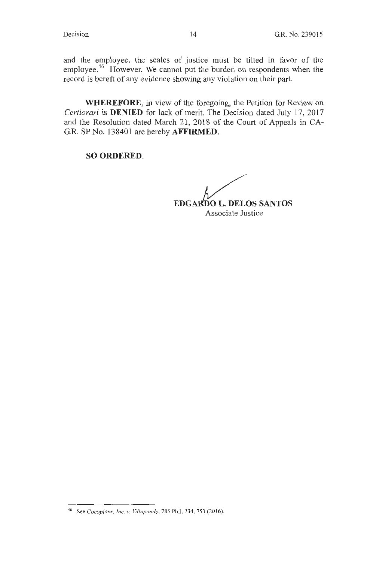and the employee, the scales of justice must be tilted in favor of the employee.<sup>46</sup> However, We cannot put the burden on respondents when the record is bereft of any evidence showing any violation on their part.

**WHEREFORE,** in view of the foregoing, the Petition for Review on *Certiorari* is **DENIED** for lack of merit. The Decision dated July 17, 2017 and the Resolution dated March 21, 2018 of the Court of Appeals in CA-G.R. SP No. 138401 are hereby **AFFIRMED.** 

**SO ORDERED.** 

**EDGARDO L. DELOS SANTOS** Associate Justice

<sup>46</sup> See *Cocoplans, Inc. v. Villapando,* 785 Phil. 734, 753 (2016).